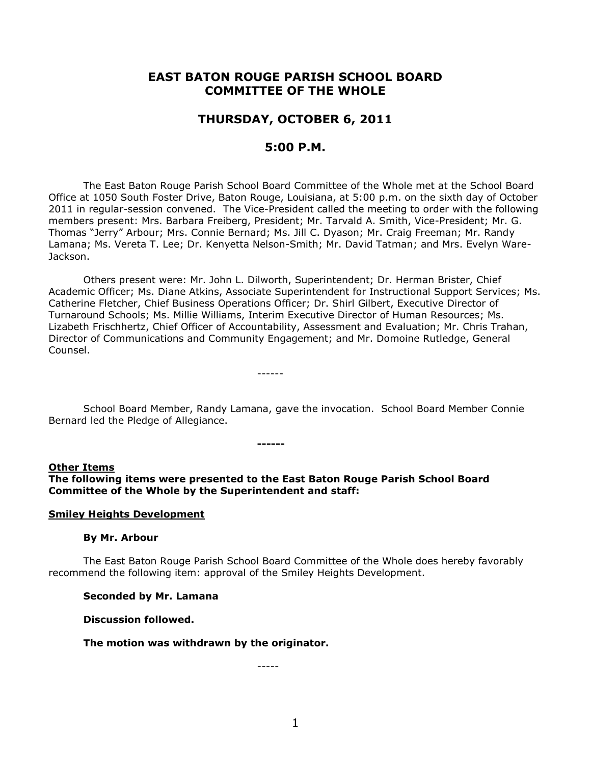# **EAST BATON ROUGE PARISH SCHOOL BOARD COMMITTEE OF THE WHOLE**

# **THURSDAY, OCTOBER 6, 2011**

## **5:00 P.M.**

The East Baton Rouge Parish School Board Committee of the Whole met at the School Board Office at 1050 South Foster Drive, Baton Rouge, Louisiana, at 5:00 p.m. on the sixth day of October 2011 in regular-session convened. The Vice-President called the meeting to order with the following members present: Mrs. Barbara Freiberg, President; Mr. Tarvald A. Smith, Vice-President; Mr. G. Thomas "Jerry" Arbour; Mrs. Connie Bernard; Ms. Jill C. Dyason; Mr. Craig Freeman; Mr. Randy Lamana; Ms. Vereta T. Lee; Dr. Kenyetta Nelson-Smith; Mr. David Tatman; and Mrs. Evelyn Ware-Jackson.

Others present were: Mr. John L. Dilworth, Superintendent; Dr. Herman Brister, Chief Academic Officer; Ms. Diane Atkins, Associate Superintendent for Instructional Support Services; Ms. Catherine Fletcher, Chief Business Operations Officer; Dr. Shirl Gilbert, Executive Director of Turnaround Schools; Ms. Millie Williams, Interim Executive Director of Human Resources; Ms. Lizabeth Frischhertz, Chief Officer of Accountability, Assessment and Evaluation; Mr. Chris Trahan, Director of Communications and Community Engagement; and Mr. Domoine Rutledge, General Counsel.

School Board Member, Randy Lamana, gave the invocation. School Board Member Connie Bernard led the Pledge of Allegiance.

# **Other Items**

**The following items were presented to the East Baton Rouge Parish School Board Committee of the Whole by the Superintendent and staff:**

**------**

------

#### **Smiley Heights Development**

#### **By Mr. Arbour**

The East Baton Rouge Parish School Board Committee of the Whole does hereby favorably recommend the following item: approval of the Smiley Heights Development.

#### **Seconded by Mr. Lamana**

#### **Discussion followed.**

#### **The motion was withdrawn by the originator.**

-----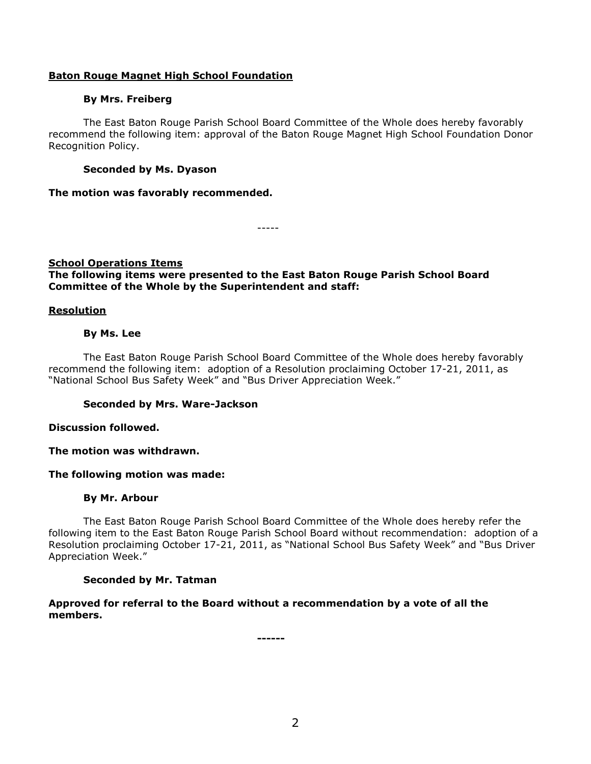## **Baton Rouge Magnet High School Foundation**

## **By Mrs. Freiberg**

The East Baton Rouge Parish School Board Committee of the Whole does hereby favorably recommend the following item: approval of the Baton Rouge Magnet High School Foundation Donor Recognition Policy.

## **Seconded by Ms. Dyason**

## **The motion was favorably recommended.**

-----

## **School Operations Items**

## **The following items were presented to the East Baton Rouge Parish School Board Committee of the Whole by the Superintendent and staff:**

## **Resolution**

## **By Ms. Lee**

The East Baton Rouge Parish School Board Committee of the Whole does hereby favorably recommend the following item: adoption of a Resolution proclaiming October 17-21, 2011, as "National School Bus Safety Week" and "Bus Driver Appreciation Week."

## **Seconded by Mrs. Ware-Jackson**

## **Discussion followed.**

## **The motion was withdrawn.**

## **The following motion was made:**

## **By Mr. Arbour**

The East Baton Rouge Parish School Board Committee of the Whole does hereby refer the following item to the East Baton Rouge Parish School Board without recommendation: adoption of a Resolution proclaiming October 17-21, 2011, as "National School Bus Safety Week" and "Bus Driver Appreciation Week."

## **Seconded by Mr. Tatman**

## **Approved for referral to the Board without a recommendation by a vote of all the members.**

**------**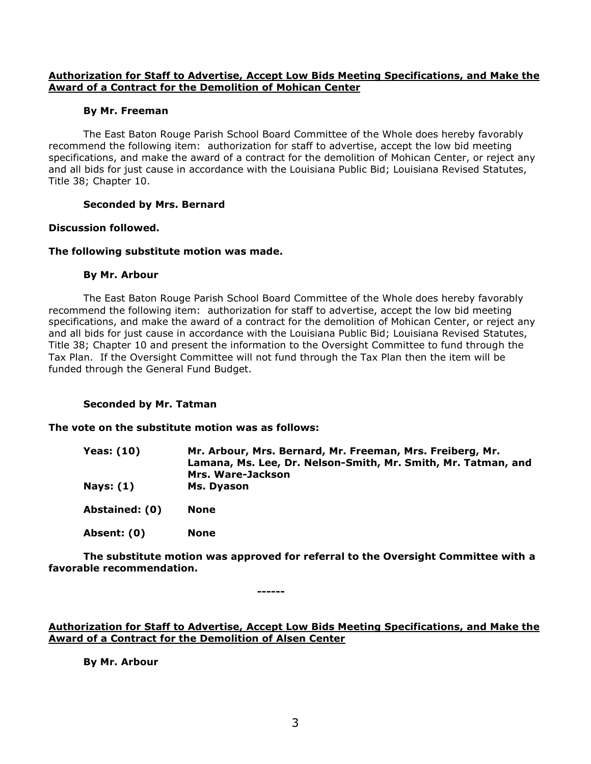## **Authorization for Staff to Advertise, Accept Low Bids Meeting Specifications, and Make the Award of a Contract for the Demolition of Mohican Center**

## **By Mr. Freeman**

The East Baton Rouge Parish School Board Committee of the Whole does hereby favorably recommend the following item: authorization for staff to advertise, accept the low bid meeting specifications, and make the award of a contract for the demolition of Mohican Center, or reject any and all bids for just cause in accordance with the Louisiana Public Bid; Louisiana Revised Statutes, Title 38; Chapter 10.

## **Seconded by Mrs. Bernard**

## **Discussion followed.**

## **The following substitute motion was made.**

## **By Mr. Arbour**

The East Baton Rouge Parish School Board Committee of the Whole does hereby favorably recommend the following item: authorization for staff to advertise, accept the low bid meeting specifications, and make the award of a contract for the demolition of Mohican Center, or reject any and all bids for just cause in accordance with the Louisiana Public Bid; Louisiana Revised Statutes, Title 38; Chapter 10 and present the information to the Oversight Committee to fund through the Tax Plan. If the Oversight Committee will not fund through the Tax Plan then the item will be funded through the General Fund Budget.

## **Seconded by Mr. Tatman**

## **The vote on the substitute motion was as follows:**

| <b>Yeas: (10)</b> | Mr. Arbour, Mrs. Bernard, Mr. Freeman, Mrs. Freiberg, Mr.<br>Lamana, Ms. Lee, Dr. Nelson-Smith, Mr. Smith, Mr. Tatman, and<br>Mrs. Ware-Jackson |
|-------------------|-------------------------------------------------------------------------------------------------------------------------------------------------|
| <b>Nays: (1)</b>  | Ms. Dyason                                                                                                                                      |
| Abstained: (0)    | <b>None</b>                                                                                                                                     |
| Absent: (0)       | None                                                                                                                                            |

**The substitute motion was approved for referral to the Oversight Committee with a favorable recommendation.**

**------**

## **Authorization for Staff to Advertise, Accept Low Bids Meeting Specifications, and Make the Award of a Contract for the Demolition of Alsen Center**

**By Mr. Arbour**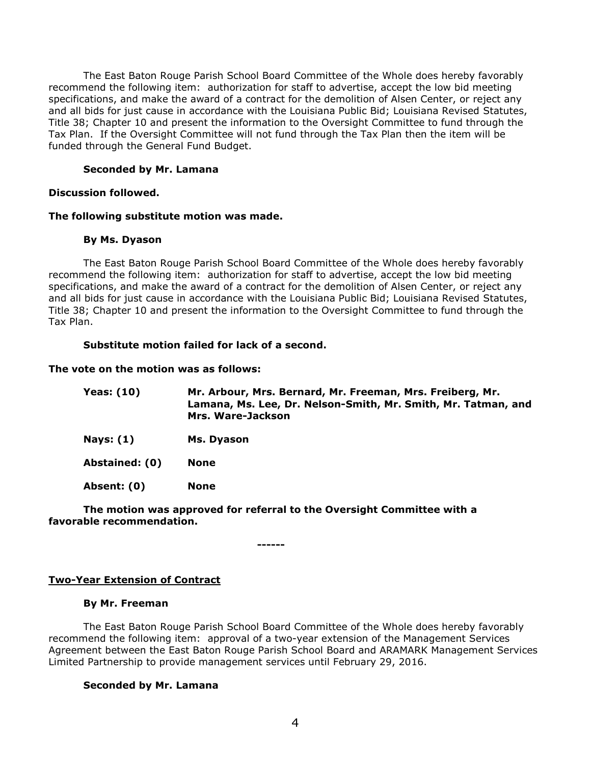The East Baton Rouge Parish School Board Committee of the Whole does hereby favorably recommend the following item: authorization for staff to advertise, accept the low bid meeting specifications, and make the award of a contract for the demolition of Alsen Center, or reject any and all bids for just cause in accordance with the Louisiana Public Bid; Louisiana Revised Statutes, Title 38; Chapter 10 and present the information to the Oversight Committee to fund through the Tax Plan. If the Oversight Committee will not fund through the Tax Plan then the item will be funded through the General Fund Budget.

## **Seconded by Mr. Lamana**

#### **Discussion followed.**

#### **The following substitute motion was made.**

#### **By Ms. Dyason**

The East Baton Rouge Parish School Board Committee of the Whole does hereby favorably recommend the following item: authorization for staff to advertise, accept the low bid meeting specifications, and make the award of a contract for the demolition of Alsen Center, or reject any and all bids for just cause in accordance with the Louisiana Public Bid; Louisiana Revised Statutes, Title 38; Chapter 10 and present the information to the Oversight Committee to fund through the Tax Plan.

#### **Substitute motion failed for lack of a second.**

#### **The vote on the motion was as follows:**

| <b>Yeas: (10)</b> | Mr. Arbour, Mrs. Bernard, Mr. Freeman, Mrs. Freiberg, Mr.<br>Lamana, Ms. Lee, Dr. Nelson-Smith, Mr. Smith, Mr. Tatman, and<br>Mrs. Ware-Jackson |
|-------------------|-------------------------------------------------------------------------------------------------------------------------------------------------|
| Nays: (1)         | Ms. Dyason                                                                                                                                      |
| Abstained: (0)    | <b>None</b>                                                                                                                                     |
| Absent: (0)       | <b>None</b>                                                                                                                                     |

## **The motion was approved for referral to the Oversight Committee with a favorable recommendation.**

**------**

## **Two-Year Extension of Contract**

#### **By Mr. Freeman**

The East Baton Rouge Parish School Board Committee of the Whole does hereby favorably recommend the following item: approval of a two-year extension of the Management Services Agreement between the East Baton Rouge Parish School Board and ARAMARK Management Services Limited Partnership to provide management services until February 29, 2016.

## **Seconded by Mr. Lamana**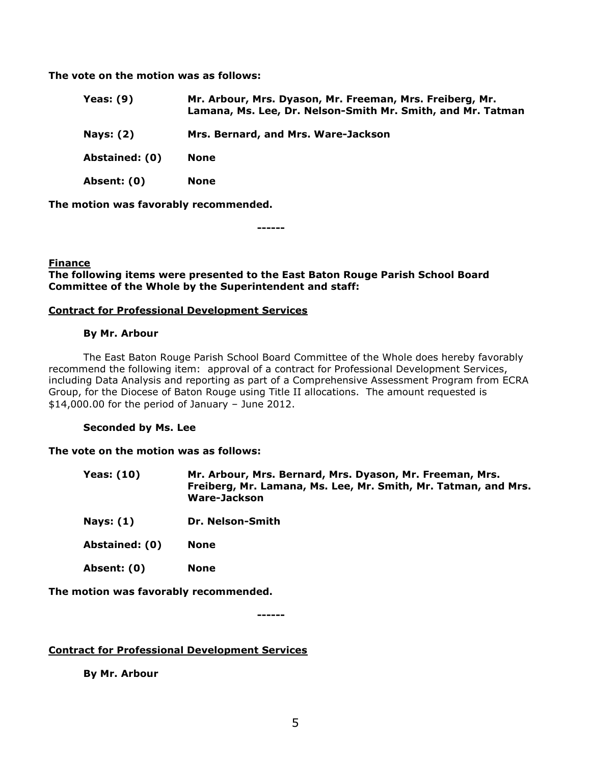**The vote on the motion was as follows:**

| Yeas: $(9)$      | Mr. Arbour, Mrs. Dyason, Mr. Freeman, Mrs. Freiberg, Mr.<br>Lamana, Ms. Lee, Dr. Nelson-Smith Mr. Smith, and Mr. Tatman |
|------------------|-------------------------------------------------------------------------------------------------------------------------|
| <b>Nays: (2)</b> | Mrs. Bernard, and Mrs. Ware-Jackson                                                                                     |
| Abstained: (0)   | None                                                                                                                    |
| Absent: (0)      | None                                                                                                                    |

**The motion was favorably recommended.**

**------**

## **Finance**

### **The following items were presented to the East Baton Rouge Parish School Board Committee of the Whole by the Superintendent and staff:**

## **Contract for Professional Development Services**

#### **By Mr. Arbour**

The East Baton Rouge Parish School Board Committee of the Whole does hereby favorably recommend the following item: approval of a contract for Professional Development Services, including Data Analysis and reporting as part of a Comprehensive Assessment Program from ECRA Group, for the Diocese of Baton Rouge using Title II allocations. The amount requested is \$14,000.00 for the period of January – June 2012.

#### **Seconded by Ms. Lee**

#### **The vote on the motion was as follows:**

| Yeas: (10) | Mr. Arbour, Mrs. Bernard, Mrs. Dyason, Mr. Freeman, Mrs.       |
|------------|----------------------------------------------------------------|
|            | Freiberg, Mr. Lamana, Ms. Lee, Mr. Smith, Mr. Tatman, and Mrs. |
|            | Ware-Jackson                                                   |

- **Nays: (1) Dr. Nelson-Smith**
- **Abstained: (0) None**
- **Absent: (0) None**

**The motion was favorably recommended.**

**------**

## **Contract for Professional Development Services**

**By Mr. Arbour**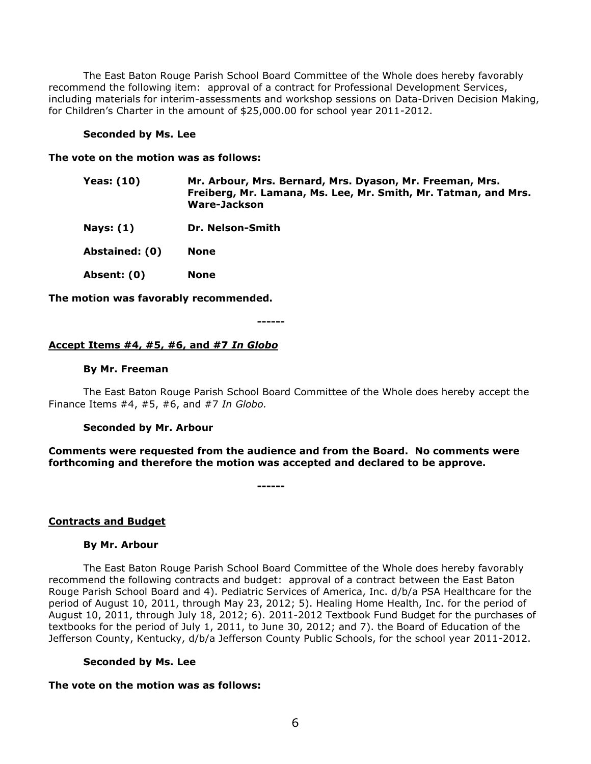The East Baton Rouge Parish School Board Committee of the Whole does hereby favorably recommend the following item: approval of a contract for Professional Development Services, including materials for interim-assessments and workshop sessions on Data-Driven Decision Making, for Children's Charter in the amount of \$25,000.00 for school year 2011-2012.

#### **Seconded by Ms. Lee**

#### **The vote on the motion was as follows:**

| <b>Yeas: (10)</b> | Mr. Arbour, Mrs. Bernard, Mrs. Dyason, Mr. Freeman, Mrs.       |
|-------------------|----------------------------------------------------------------|
|                   | Freiberg, Mr. Lamana, Ms. Lee, Mr. Smith, Mr. Tatman, and Mrs. |
|                   | Ware-Jackson                                                   |
|                   |                                                                |

**Nays: (1) Dr. Nelson-Smith**

**Abstained: (0) None**

**Absent: (0) None**

**The motion was favorably recommended.**

**------**

#### **Accept Items #4, #5, #6, and #7** *In Globo*

#### **By Mr. Freeman**

The East Baton Rouge Parish School Board Committee of the Whole does hereby accept the Finance Items #4, #5, #6, and #7 *In Globo.*

#### **Seconded by Mr. Arbour**

**Comments were requested from the audience and from the Board. No comments were forthcoming and therefore the motion was accepted and declared to be approve.** 

**------**

#### **Contracts and Budget**

#### **By Mr. Arbour**

The East Baton Rouge Parish School Board Committee of the Whole does hereby favorably recommend the following contracts and budget: approval of a contract between the East Baton Rouge Parish School Board and 4). Pediatric Services of America, Inc. d/b/a PSA Healthcare for the period of August 10, 2011, through May 23, 2012; 5). Healing Home Health, Inc. for the period of August 10, 2011, through July 18, 2012; 6). 2011-2012 Textbook Fund Budget for the purchases of textbooks for the period of July 1, 2011, to June 30, 2012; and 7). the Board of Education of the Jefferson County, Kentucky, d/b/a Jefferson County Public Schools, for the school year 2011-2012.

#### **Seconded by Ms. Lee**

#### **The vote on the motion was as follows:**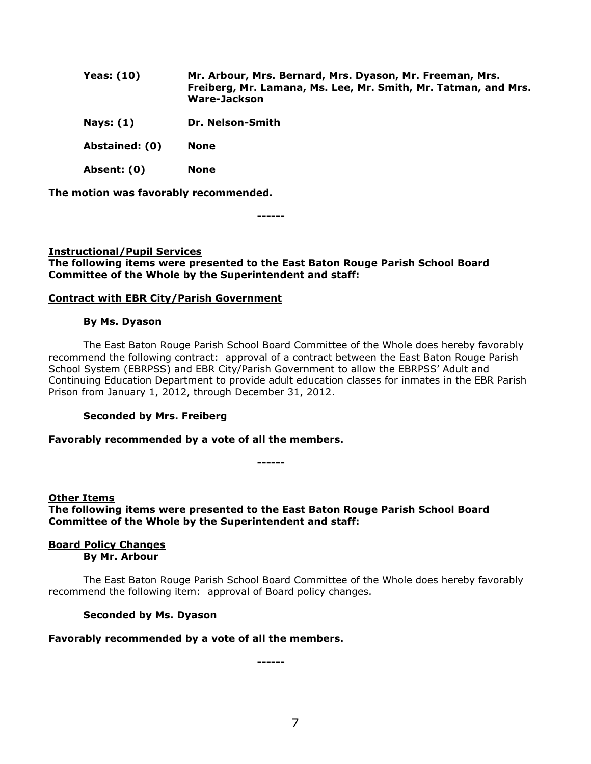| <b>Yeas: (10)</b> | Mr. Arbour, Mrs. Bernard, Mrs. Dyason, Mr. Freeman, Mrs.<br>Freiberg, Mr. Lamana, Ms. Lee, Mr. Smith, Mr. Tatman, and Mrs.<br><b>Ware-Jackson</b> |
|-------------------|---------------------------------------------------------------------------------------------------------------------------------------------------|
| Nays: $(1)$       | Dr. Nelson-Smith                                                                                                                                  |
| Abstained: (0)    | <b>None</b>                                                                                                                                       |
| Absent: (0)       | <b>None</b>                                                                                                                                       |

**The motion was favorably recommended.**

**------**

## **Instructional/Pupil Services The following items were presented to the East Baton Rouge Parish School Board Committee of the Whole by the Superintendent and staff:**

## **Contract with EBR City/Parish Government**

#### **By Ms. Dyason**

The East Baton Rouge Parish School Board Committee of the Whole does hereby favorably recommend the following contract: approval of a contract between the East Baton Rouge Parish School System (EBRPSS) and EBR City/Parish Government to allow the EBRPSS' Adult and Continuing Education Department to provide adult education classes for inmates in the EBR Parish Prison from January 1, 2012, through December 31, 2012.

## **Seconded by Mrs. Freiberg**

#### **Favorably recommended by a vote of all the members.**

**------**

**Other Items The following items were presented to the East Baton Rouge Parish School Board Committee of the Whole by the Superintendent and staff:**

#### **Board Policy Changes By Mr. Arbour**

The East Baton Rouge Parish School Board Committee of the Whole does hereby favorably recommend the following item: approval of Board policy changes.

## **Seconded by Ms. Dyason**

#### **Favorably recommended by a vote of all the members.**

**------**